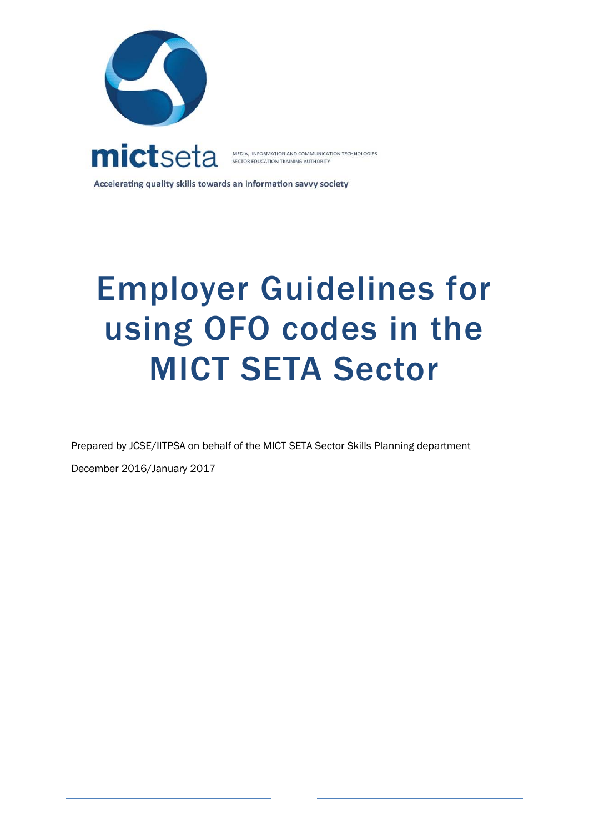



MEDIA, INFORMATION AND COMMUNICATION TECHNOLOGIES<br>SECTOR EDUCATION TRAINING AUTHORITY

Accelerating quality skills towards an information savvy society

# Employer Guidelines for using OFO codes in the MICT SETA Sector

Prepared by JCSE/IITPSA on behalf of the MICT SETA Sector Skills Planning department

December 2016/January 2017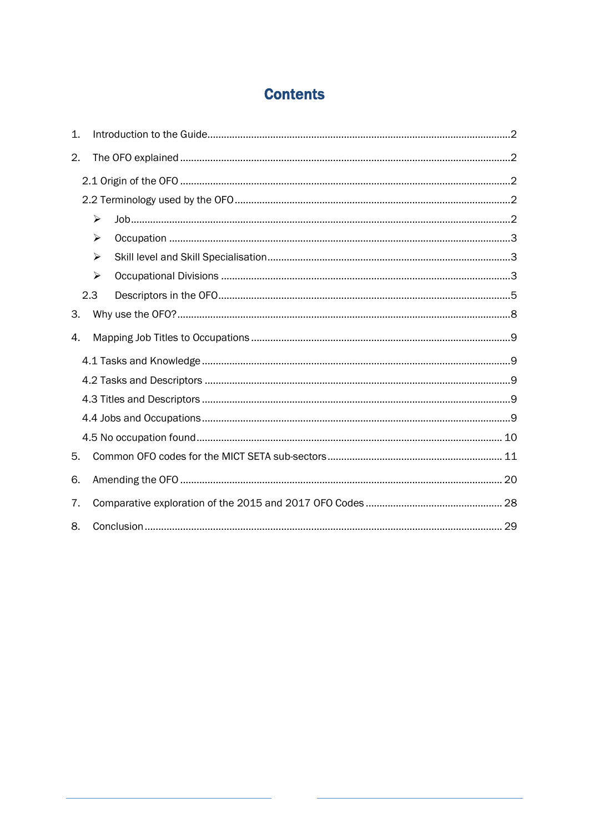# **Contents**

| 1. |                       |  |
|----|-----------------------|--|
| 2. |                       |  |
|    |                       |  |
|    |                       |  |
|    | ➤                     |  |
|    | ➤                     |  |
|    | ➤                     |  |
|    | $\blacktriangleright$ |  |
|    | 2.3                   |  |
| 3. |                       |  |
| 4. |                       |  |
|    |                       |  |
|    |                       |  |
|    |                       |  |
|    |                       |  |
|    |                       |  |
| 5. |                       |  |
| 6. |                       |  |
| 7. |                       |  |
| 8. |                       |  |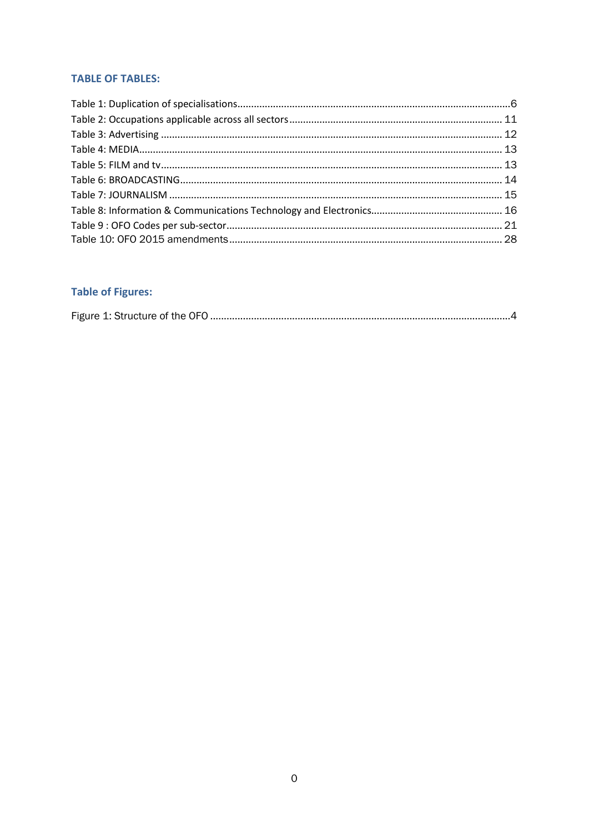### **TABLE OF TABLES:**

# **Table of Figures:**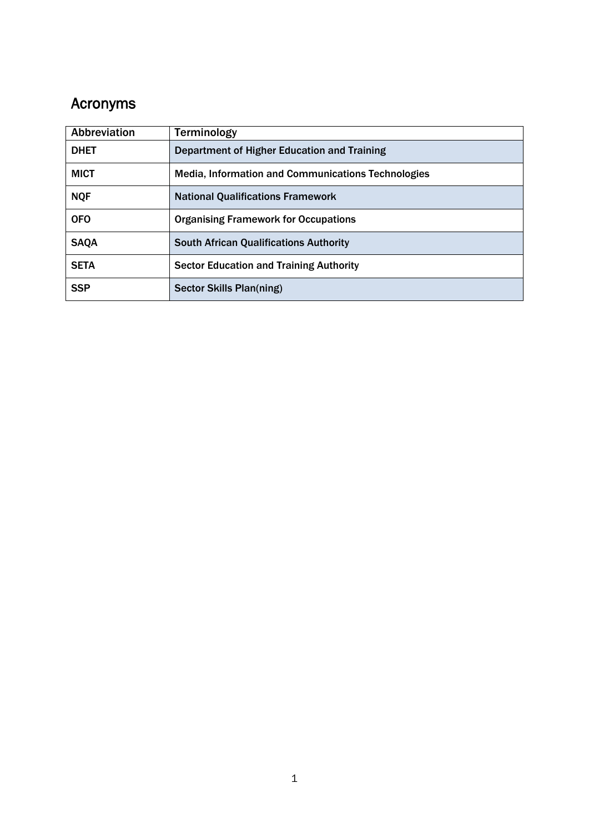# Acronyms

| Abbreviation | <b>Terminology</b>                                 |  |
|--------------|----------------------------------------------------|--|
| <b>DHET</b>  | Department of Higher Education and Training        |  |
| <b>MICT</b>  | Media, Information and Communications Technologies |  |
| <b>NQF</b>   | <b>National Qualifications Framework</b>           |  |
| <b>OFO</b>   | <b>Organising Framework for Occupations</b>        |  |
| <b>SAQA</b>  | <b>South African Qualifications Authority</b>      |  |
| <b>SETA</b>  | <b>Sector Education and Training Authority</b>     |  |
| <b>SSP</b>   | Sector Skills Plan(ning)                           |  |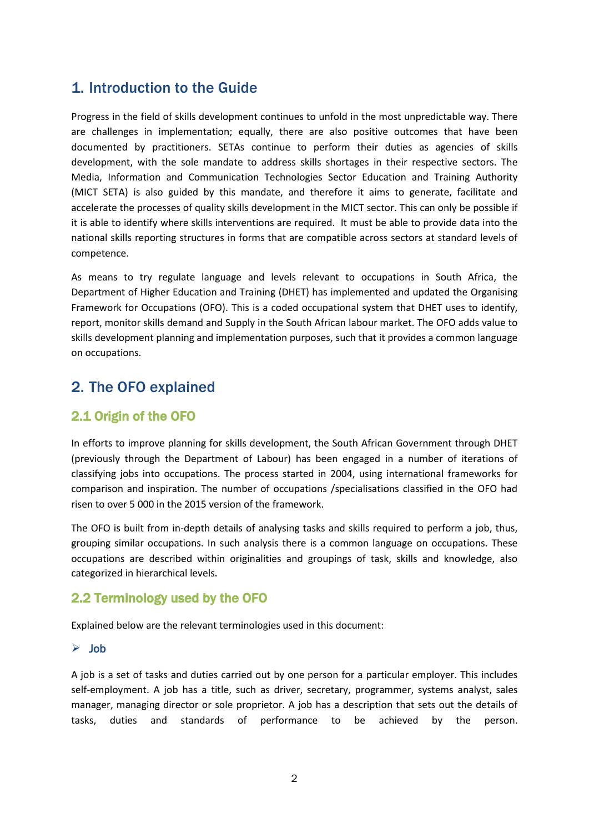# <span id="page-4-0"></span>1. Introduction to the Guide

Progress in the field of skills development continues to unfold in the most unpredictable way. There are challenges in implementation; equally, there are also positive outcomes that have been documented by practitioners. SETAs continue to perform their duties as agencies of skills development, with the sole mandate to address skills shortages in their respective sectors. The Media, Information and Communication Technologies Sector Education and Training Authority (MICT SETA) is also guided by this mandate, and therefore it aims to generate, facilitate and accelerate the processes of quality skills development in the MICT sector. This can only be possible if it is able to identify where skills interventions are required. It must be able to provide data into the national skills reporting structures in forms that are compatible across sectors at standard levels of competence.

As means to try regulate language and levels relevant to occupations in South Africa, the Department of Higher Education and Training (DHET) has implemented and updated the Organising Framework for Occupations (OFO). This is a coded occupational system that DHET uses to identify, report, monitor skills demand and Supply in the South African labour market. The OFO adds value to skills development planning and implementation purposes, such that it provides a common language on occupations.

# <span id="page-4-1"></span>2. The OFO explained

# <span id="page-4-2"></span>2.1 Origin of the OFO

In efforts to improve planning for skills development, the South African Government through DHET (previously through the Department of Labour) has been engaged in a number of iterations of classifying jobs into occupations. The process started in 2004, using international frameworks for comparison and inspiration. The number of occupations /specialisations classified in the OFO had risen to over 5 000 in the 2015 version of the framework.

The OFO is built from in-depth details of analysing tasks and skills required to perform a job, thus, grouping similar occupations. In such analysis there is a common language on occupations. These occupations are described within originalities and groupings of task, skills and knowledge, also categorized in hierarchical levels.

# <span id="page-4-3"></span>2.2 Terminology used by the OFO

Explained below are the relevant terminologies used in this document:

### <span id="page-4-4"></span>Job

A job is a set of tasks and duties carried out by one person for a particular employer. This includes self-employment. A job has a title, such as driver, secretary, programmer, systems analyst, sales manager, managing director or sole proprietor. A job has a description that sets out the details of tasks, duties and standards of performance to be achieved by the person.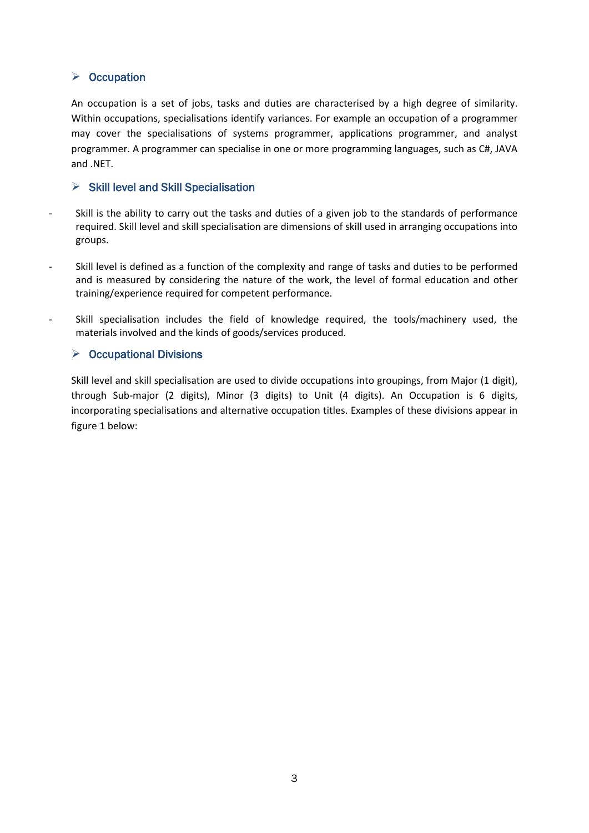## <span id="page-5-0"></span> $\triangleright$  Occupation

An occupation is a set of jobs, tasks and duties are characterised by a high degree of similarity. Within occupations, specialisations identify variances. For example an occupation of a programmer may cover the specialisations of systems programmer, applications programmer, and analyst programmer. A programmer can specialise in one or more programming languages, such as C#, JAVA and .NET.

## <span id="page-5-1"></span> $\triangleright$  Skill level and Skill Specialisation

- Skill is the ability to carry out the tasks and duties of a given job to the standards of performance required. Skill level and skill specialisation are dimensions of skill used in arranging occupations into groups.
- Skill level is defined as a function of the complexity and range of tasks and duties to be performed and is measured by considering the nature of the work, the level of formal education and other training/experience required for competent performance.
- Skill specialisation includes the field of knowledge required, the tools/machinery used, the materials involved and the kinds of goods/services produced.

## <span id="page-5-2"></span> $\triangleright$  Occupational Divisions

Skill level and skill specialisation are used to divide occupations into groupings, from Major (1 digit), through Sub-major (2 digits), Minor (3 digits) to Unit (4 digits). An Occupation is 6 digits, incorporating specialisations and alternative occupation titles. Examples of these divisions appear in figure 1 below: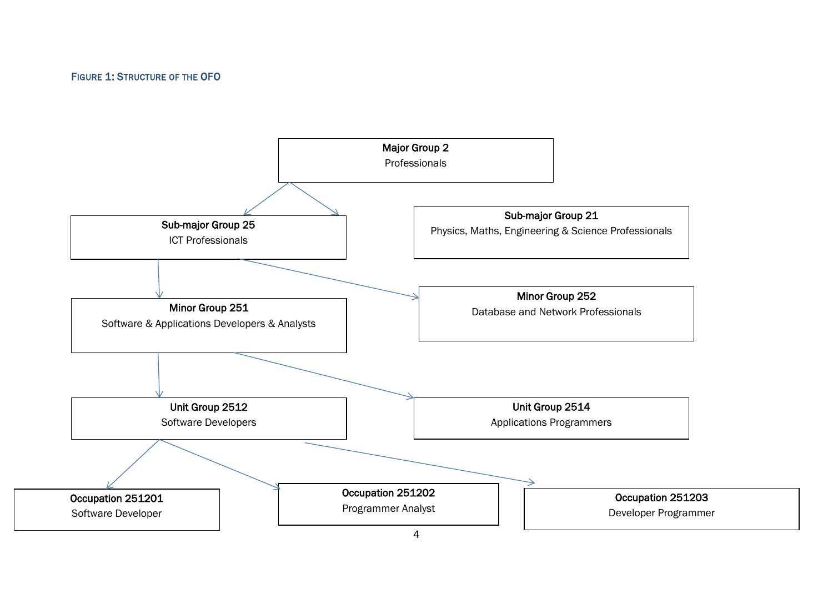#### FIGURE 1: STRUCTURE OF THE OFO

<span id="page-6-0"></span>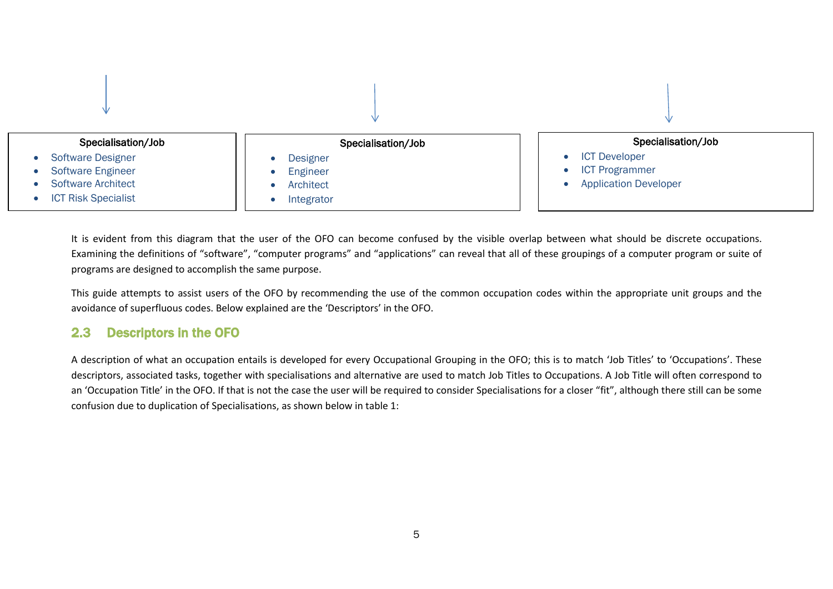

It is evident from this diagram that the user of the OFO can become confused by the visible overlap between what should be discrete occupations. Examining the definitions of "software", "computer programs" and "applications" can reveal that all of these groupings of a computer program or suite of programs are designed to accomplish the same purpose.

This guide attempts to assist users of the OFO by recommending the use of the common occupation codes within the appropriate unit groups and the avoidance of superfluous codes. Below explained are the 'Descriptors' in the OFO.

## 2.3 Descriptors in the OFO

<span id="page-7-0"></span>A description of what an occupation entails is developed for every Occupational Grouping in the OFO; this is to match 'Job Titles' to 'Occupations'. These descriptors, associated tasks, together with specialisations and alternative are used to match Job Titles to Occupations. A Job Title will often correspond to an 'Occupation Title' in the OFO. If that is not the case the user will be required to consider Specialisations for a closer "fit", although there still can be some confusion due to duplication of Specialisations, as shown below in table 1: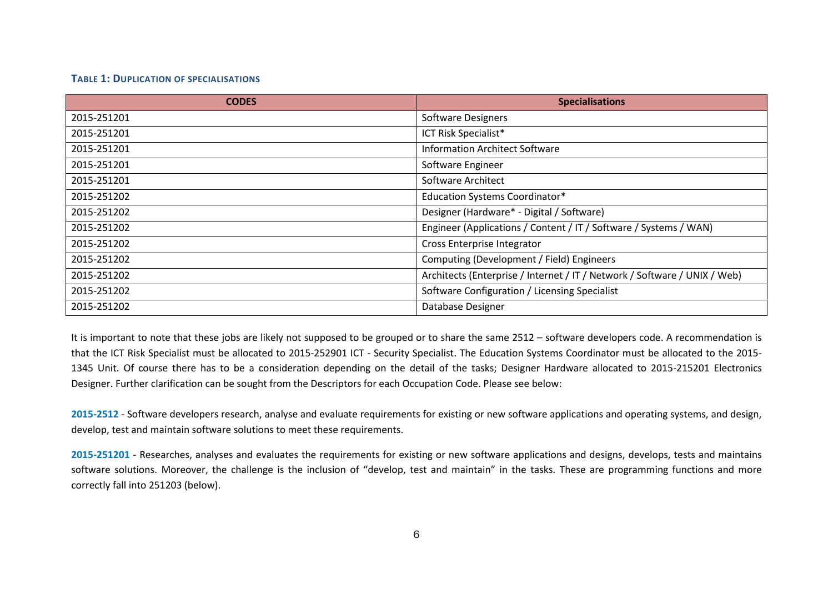#### **TABLE 1: DUPLICATION OF SPECIALISATIONS**

| <b>CODES</b> | <b>Specialisations</b>                                                    |
|--------------|---------------------------------------------------------------------------|
| 2015-251201  | Software Designers                                                        |
| 2015-251201  | ICT Risk Specialist*                                                      |
| 2015-251201  | <b>Information Architect Software</b>                                     |
| 2015-251201  | Software Engineer                                                         |
| 2015-251201  | Software Architect                                                        |
| 2015-251202  | <b>Education Systems Coordinator*</b>                                     |
| 2015-251202  | Designer (Hardware* - Digital / Software)                                 |
| 2015-251202  | Engineer (Applications / Content / IT / Software / Systems / WAN)         |
| 2015-251202  | Cross Enterprise Integrator                                               |
| 2015-251202  | Computing (Development / Field) Engineers                                 |
| 2015-251202  | Architects (Enterprise / Internet / IT / Network / Software / UNIX / Web) |
| 2015-251202  | Software Configuration / Licensing Specialist                             |
| 2015-251202  | Database Designer                                                         |

<span id="page-8-0"></span>It is important to note that these jobs are likely not supposed to be grouped or to share the same 2512 – software developers code. A recommendation is that the ICT Risk Specialist must be allocated to 2015-252901 ICT - Security Specialist. The Education Systems Coordinator must be allocated to the 2015- 1345 Unit. Of course there has to be a consideration depending on the detail of the tasks; Designer Hardware allocated to 2015-215201 Electronics Designer. Further clarification can be sought from the Descriptors for each Occupation Code. Please see below:

**2015-2512** - Software developers research, analyse and evaluate requirements for existing or new software applications and operating systems, and design, develop, test and maintain software solutions to meet these requirements.

**2015-251201** - Researches, analyses and evaluates the requirements for existing or new software applications and designs, develops, tests and maintains software solutions. Moreover, the challenge is the inclusion of "develop, test and maintain" in the tasks. These are programming functions and more correctly fall into 251203 (below).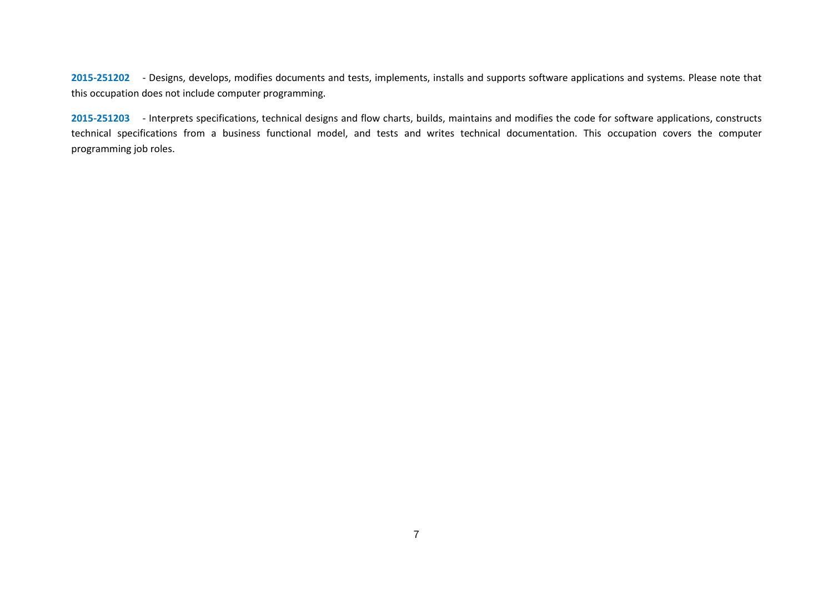**2015-251202** - Designs, develops, modifies documents and tests, implements, installs and supports software applications and systems. Please note that this occupation does not include computer programming.

**2015-251203** - Interprets specifications, technical designs and flow charts, builds, maintains and modifies the code for software applications, constructs technical specifications from a business functional model, and tests and writes technical documentation. This occupation covers the computer programming job roles.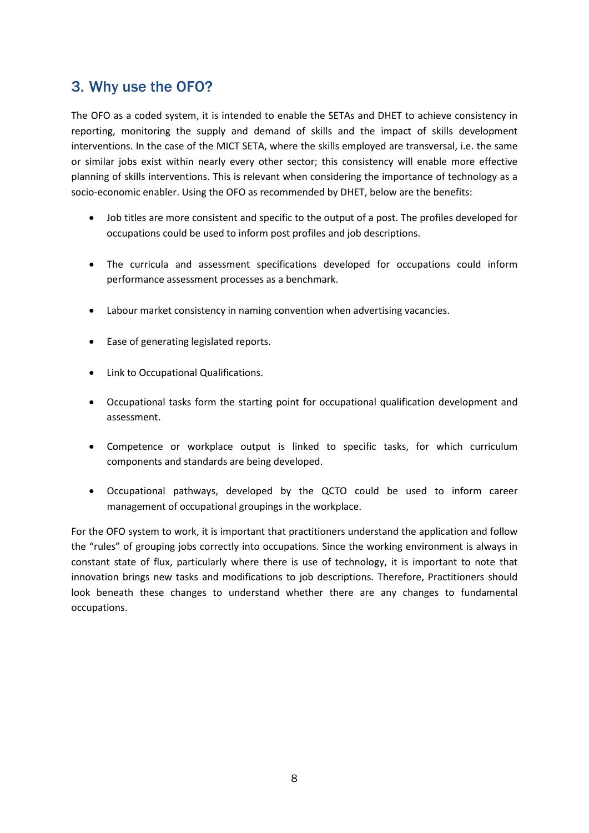# <span id="page-10-0"></span>3. Why use the OFO?

The OFO as a coded system, it is intended to enable the SETAs and DHET to achieve consistency in reporting, monitoring the supply and demand of skills and the impact of skills development interventions. In the case of the MICT SETA, where the skills employed are transversal, i.e. the same or similar jobs exist within nearly every other sector; this consistency will enable more effective planning of skills interventions. This is relevant when considering the importance of technology as a socio-economic enabler. Using the OFO as recommended by DHET, below are the benefits:

- Job titles are more consistent and specific to the output of a post. The profiles developed for occupations could be used to inform post profiles and job descriptions.
- The curricula and assessment specifications developed for occupations could inform performance assessment processes as a benchmark.
- Labour market consistency in naming convention when advertising vacancies.
- Ease of generating legislated reports.
- Link to Occupational Qualifications.
- Occupational tasks form the starting point for occupational qualification development and assessment.
- Competence or workplace output is linked to specific tasks, for which curriculum components and standards are being developed.
- Occupational pathways, developed by the QCTO could be used to inform career management of occupational groupings in the workplace.

For the OFO system to work, it is important that practitioners understand the application and follow the "rules" of grouping jobs correctly into occupations. Since the working environment is always in constant state of flux, particularly where there is use of technology, it is important to note that innovation brings new tasks and modifications to job descriptions. Therefore, Practitioners should look beneath these changes to understand whether there are any changes to fundamental occupations.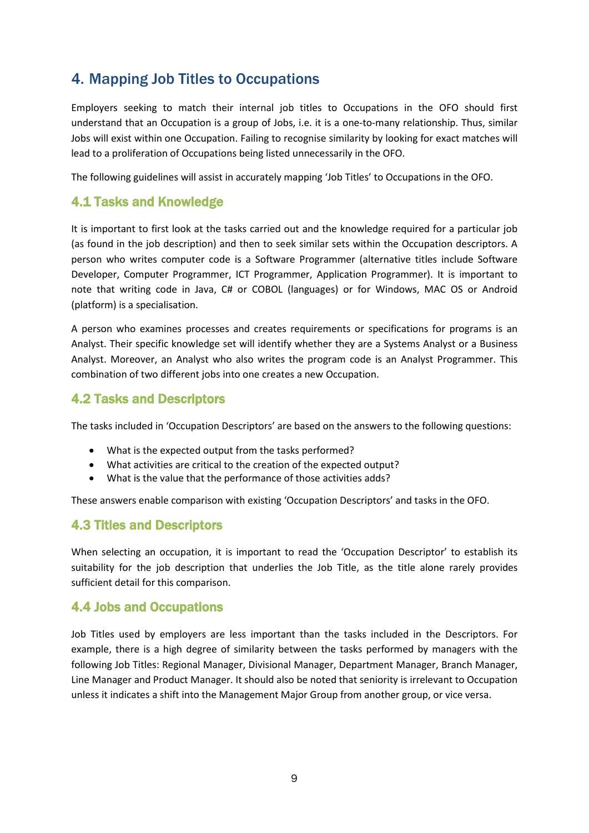# <span id="page-11-0"></span>4. Mapping Job Titles to Occupations

Employers seeking to match their internal job titles to Occupations in the OFO should first understand that an Occupation is a group of Jobs, i.e. it is a one-to-many relationship. Thus, similar Jobs will exist within one Occupation. Failing to recognise similarity by looking for exact matches will lead to a proliferation of Occupations being listed unnecessarily in the OFO.

The following guidelines will assist in accurately mapping 'Job Titles' to Occupations in the OFO.

## <span id="page-11-1"></span>4.1 Tasks and Knowledge

It is important to first look at the tasks carried out and the knowledge required for a particular job (as found in the job description) and then to seek similar sets within the Occupation descriptors. A person who writes computer code is a Software Programmer (alternative titles include Software Developer, Computer Programmer, ICT Programmer, Application Programmer). It is important to note that writing code in Java, C# or COBOL (languages) or for Windows, MAC OS or Android (platform) is a specialisation.

A person who examines processes and creates requirements or specifications for programs is an Analyst. Their specific knowledge set will identify whether they are a Systems Analyst or a Business Analyst. Moreover, an Analyst who also writes the program code is an Analyst Programmer. This combination of two different jobs into one creates a new Occupation.

## <span id="page-11-2"></span>4.2 Tasks and Descriptors

The tasks included in 'Occupation Descriptors' are based on the answers to the following questions:

- What is the expected output from the tasks performed?
- What activities are critical to the creation of the expected output?
- What is the value that the performance of those activities adds?

These answers enable comparison with existing 'Occupation Descriptors' and tasks in the OFO.

## <span id="page-11-3"></span>4.3 Titles and Descriptors

When selecting an occupation, it is important to read the 'Occupation Descriptor' to establish its suitability for the job description that underlies the Job Title, as the title alone rarely provides sufficient detail for this comparison.

## <span id="page-11-4"></span>4.4 Jobs and Occupations

Job Titles used by employers are less important than the tasks included in the Descriptors. For example, there is a high degree of similarity between the tasks performed by managers with the following Job Titles: Regional Manager, Divisional Manager, Department Manager, Branch Manager, Line Manager and Product Manager. It should also be noted that seniority is irrelevant to Occupation unless it indicates a shift into the Management Major Group from another group, or vice versa.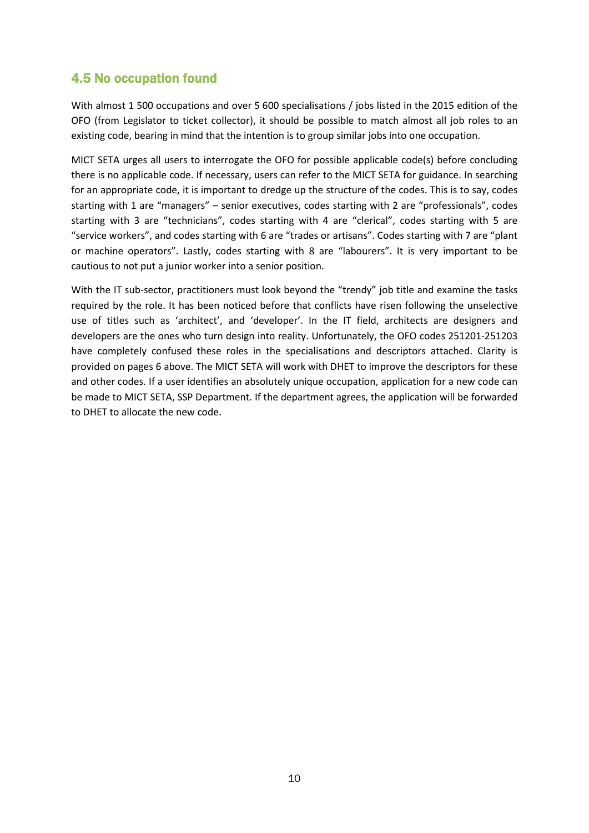# <span id="page-12-0"></span>4.5 No occupation found

With almost 1 500 occupations and over 5 600 specialisations / jobs listed in the 2015 edition of the OFO (from Legislator to ticket collector), it should be possible to match almost all job roles to an existing code, bearing in mind that the intention is to group similar jobs into one occupation.

MICT SETA urges all users to interrogate the OFO for possible applicable code(s) before concluding there is no applicable code. If necessary, users can refer to the MICT SETA for guidance. In searching for an appropriate code, it is important to dredge up the structure of the codes. This is to say, codes starting with 1 are "managers" – senior executives, codes starting with 2 are "professionals", codes starting with 3 are "technicians", codes starting with 4 are "clerical", codes starting with 5 are "service workers", and codes starting with 6 are "trades or artisans". Codes starting with 7 are "plant or machine operators". Lastly, codes starting with 8 are "labourers". It is very important to be cautious to not put a junior worker into a senior position.

With the IT sub-sector, practitioners must look beyond the "trendy" job title and examine the tasks required by the role. It has been noticed before that conflicts have risen following the unselective use of titles such as 'architect', and 'developer'. In the IT field, architects are designers and developers are the ones who turn design into reality. Unfortunately, the OFO codes 251201-251203 have completely confused these roles in the specialisations and descriptors attached. Clarity is provided on pages 6 above. The MICT SETA will work with DHET to improve the descriptors for these and other codes. If a user identifies an absolutely unique occupation, application for a new code can be made to MICT SETA, SSP Department. If the department agrees, the application will be forwarded to DHET to allocate the new code.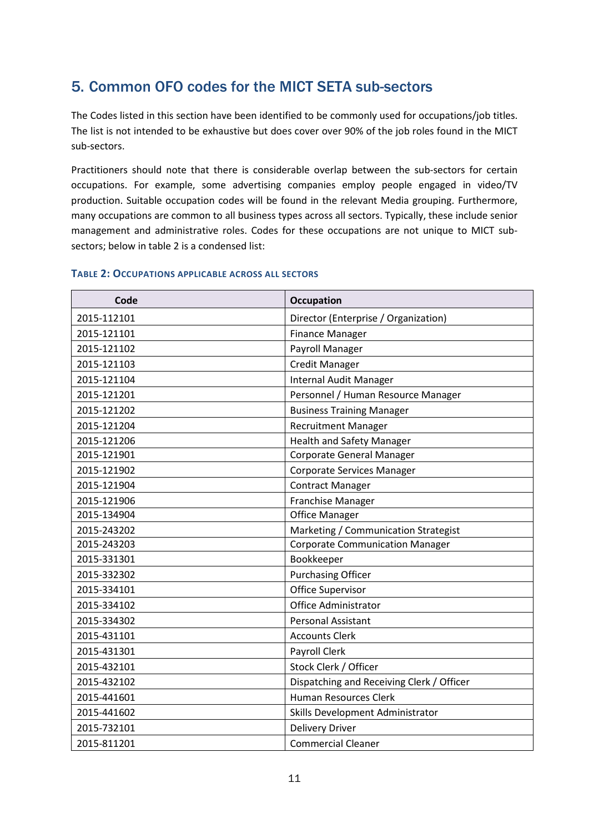# <span id="page-13-0"></span>5. Common OFO codes for the MICT SETA sub-sectors

The Codes listed in this section have been identified to be commonly used for occupations/job titles. The list is not intended to be exhaustive but does cover over 90% of the job roles found in the MICT sub-sectors.

Practitioners should note that there is considerable overlap between the sub-sectors for certain occupations. For example, some advertising companies employ people engaged in video/TV production. Suitable occupation codes will be found in the relevant Media grouping. Furthermore, many occupations are common to all business types across all sectors. Typically, these include senior management and administrative roles. Codes for these occupations are not unique to MICT subsectors; below in table 2 is a condensed list:

| Code        | <b>Occupation</b>                         |
|-------------|-------------------------------------------|
| 2015-112101 | Director (Enterprise / Organization)      |
| 2015-121101 | <b>Finance Manager</b>                    |
| 2015-121102 | Payroll Manager                           |
| 2015-121103 | <b>Credit Manager</b>                     |
| 2015-121104 | Internal Audit Manager                    |
| 2015-121201 | Personnel / Human Resource Manager        |
| 2015-121202 | <b>Business Training Manager</b>          |
| 2015-121204 | <b>Recruitment Manager</b>                |
| 2015-121206 | <b>Health and Safety Manager</b>          |
| 2015-121901 | <b>Corporate General Manager</b>          |
| 2015-121902 | <b>Corporate Services Manager</b>         |
| 2015-121904 | <b>Contract Manager</b>                   |
| 2015-121906 | Franchise Manager                         |
| 2015-134904 | <b>Office Manager</b>                     |
| 2015-243202 | Marketing / Communication Strategist      |
| 2015-243203 | <b>Corporate Communication Manager</b>    |
| 2015-331301 | Bookkeeper                                |
| 2015-332302 | <b>Purchasing Officer</b>                 |
| 2015-334101 | Office Supervisor                         |
| 2015-334102 | <b>Office Administrator</b>               |
| 2015-334302 | <b>Personal Assistant</b>                 |
| 2015-431101 | <b>Accounts Clerk</b>                     |
| 2015-431301 | Payroll Clerk                             |
| 2015-432101 | Stock Clerk / Officer                     |
| 2015-432102 | Dispatching and Receiving Clerk / Officer |
| 2015-441601 | <b>Human Resources Clerk</b>              |
| 2015-441602 | Skills Development Administrator          |
| 2015-732101 | <b>Delivery Driver</b>                    |
| 2015-811201 | <b>Commercial Cleaner</b>                 |

#### <span id="page-13-1"></span>**TABLE 2: OCCUPATIONS APPLICABLE ACROSS ALL SECTORS**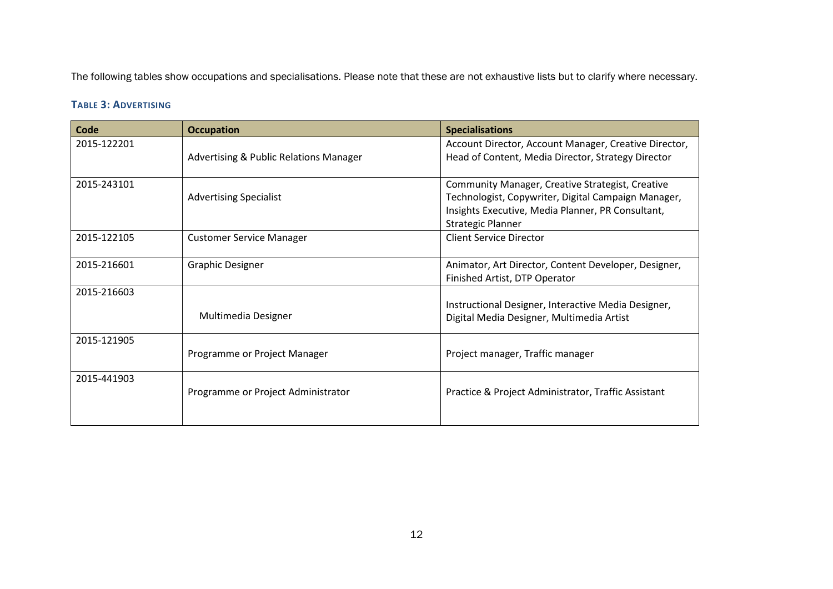The following tables show occupations and specialisations. Please note that these are not exhaustive lists but to clarify where necessary.

### **TABLE 3: ADVERTISING**

<span id="page-14-0"></span>

| Code        | <b>Occupation</b>                                 | <b>Specialisations</b>                                  |
|-------------|---------------------------------------------------|---------------------------------------------------------|
| 2015-122201 |                                                   | Account Director, Account Manager, Creative Director,   |
|             | <b>Advertising &amp; Public Relations Manager</b> | Head of Content, Media Director, Strategy Director      |
|             |                                                   |                                                         |
| 2015-243101 |                                                   | <b>Community Manager, Creative Strategist, Creative</b> |
|             | <b>Advertising Specialist</b>                     | Technologist, Copywriter, Digital Campaign Manager,     |
|             |                                                   | Insights Executive, Media Planner, PR Consultant,       |
|             |                                                   | <b>Strategic Planner</b>                                |
| 2015-122105 | <b>Customer Service Manager</b>                   | <b>Client Service Director</b>                          |
|             |                                                   |                                                         |
| 2015-216601 | <b>Graphic Designer</b>                           | Animator, Art Director, Content Developer, Designer,    |
|             |                                                   | Finished Artist, DTP Operator                           |
| 2015-216603 |                                                   |                                                         |
|             |                                                   | Instructional Designer, Interactive Media Designer,     |
|             | Multimedia Designer                               | Digital Media Designer, Multimedia Artist               |
| 2015-121905 |                                                   |                                                         |
|             | Programme or Project Manager                      | Project manager, Traffic manager                        |
|             |                                                   |                                                         |
| 2015-441903 |                                                   |                                                         |
|             | Programme or Project Administrator                | Practice & Project Administrator, Traffic Assistant     |
|             |                                                   |                                                         |
|             |                                                   |                                                         |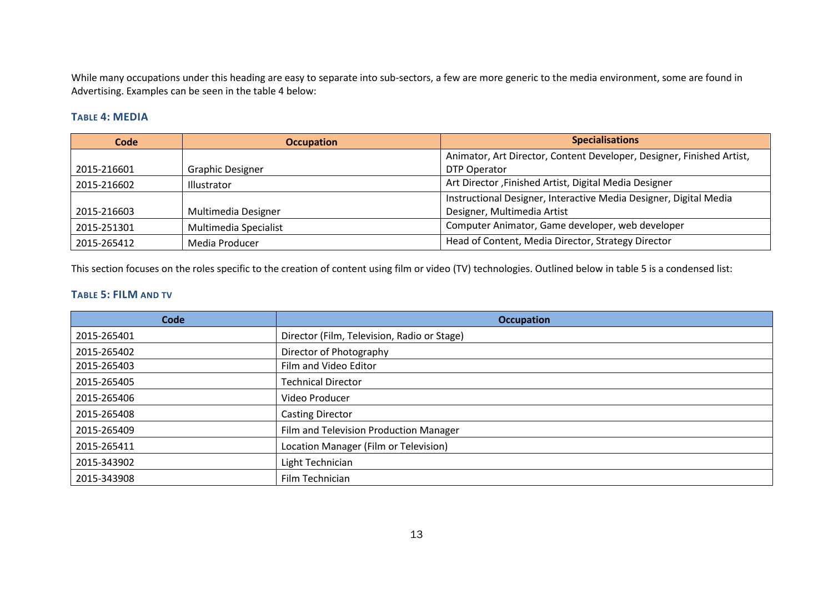While many occupations under this heading are easy to separate into sub-sectors, a few are more generic to the media environment, some are found in Advertising. Examples can be seen in the table 4 below:

#### **TABLE 4: MEDIA**

| Code        | <b>Occupation</b>       | <b>Specialisations</b>                                                |
|-------------|-------------------------|-----------------------------------------------------------------------|
|             |                         | Animator, Art Director, Content Developer, Designer, Finished Artist, |
| 2015-216601 | <b>Graphic Designer</b> | DTP Operator                                                          |
| 2015-216602 | Illustrator             | Art Director, Finished Artist, Digital Media Designer                 |
|             |                         | Instructional Designer, Interactive Media Designer, Digital Media     |
| 2015-216603 | Multimedia Designer     | Designer, Multimedia Artist                                           |
| 2015-251301 | Multimedia Specialist   | Computer Animator, Game developer, web developer                      |
| 2015-265412 | Media Producer          | Head of Content, Media Director, Strategy Director                    |

This section focuses on the roles specific to the creation of content using film or video (TV) technologies. Outlined below in table 5 is a condensed list:

#### **TABLE 5: FILM AND TV**

<span id="page-15-1"></span><span id="page-15-0"></span>

| Code        | <b>Occupation</b>                           |
|-------------|---------------------------------------------|
| 2015-265401 | Director (Film, Television, Radio or Stage) |
| 2015-265402 | Director of Photography                     |
| 2015-265403 | Film and Video Editor                       |
| 2015-265405 | <b>Technical Director</b>                   |
| 2015-265406 | Video Producer                              |
| 2015-265408 | <b>Casting Director</b>                     |
| 2015-265409 | Film and Television Production Manager      |
| 2015-265411 | Location Manager (Film or Television)       |
| 2015-343902 | Light Technician                            |
| 2015-343908 | Film Technician                             |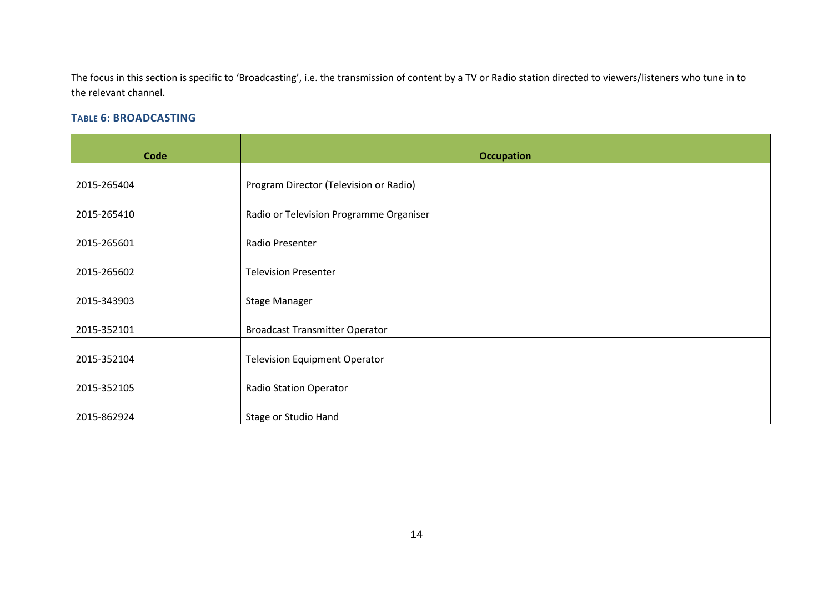The focus in this section is specific to 'Broadcasting', i.e. the transmission of content by a TV or Radio station directed to viewers/listeners who tune in to the relevant channel.

## **TABLE 6: BROADCASTING**

<span id="page-16-0"></span>

| Code        | <b>Occupation</b>                       |
|-------------|-----------------------------------------|
|             |                                         |
| 2015-265404 | Program Director (Television or Radio)  |
| 2015-265410 | Radio or Television Programme Organiser |
| 2015-265601 | Radio Presenter                         |
|             |                                         |
| 2015-265602 | <b>Television Presenter</b>             |
|             |                                         |
| 2015-343903 | <b>Stage Manager</b>                    |
| 2015-352101 | <b>Broadcast Transmitter Operator</b>   |
| 2015-352104 | <b>Television Equipment Operator</b>    |
|             |                                         |
| 2015-352105 | <b>Radio Station Operator</b>           |
|             |                                         |
| 2015-862924 | Stage or Studio Hand                    |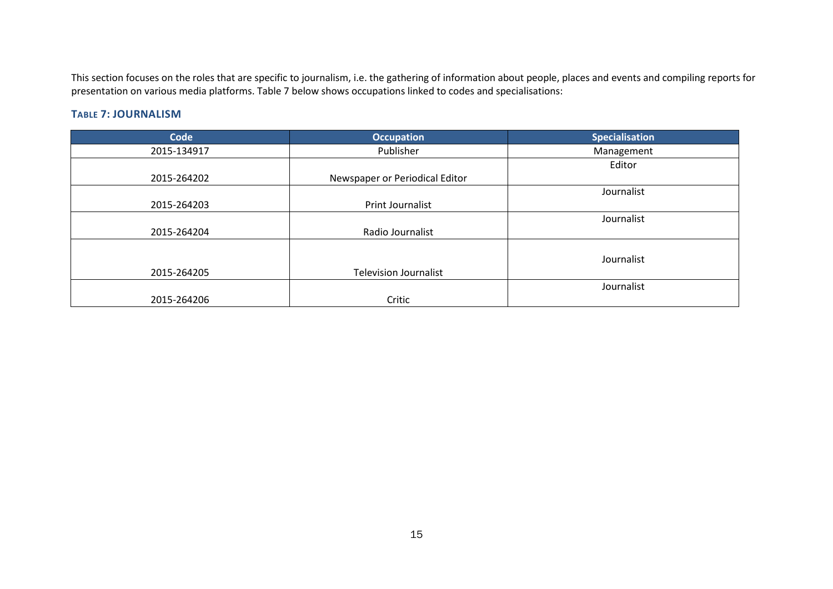This section focuses on the roles that are specific to journalism, i.e. the gathering of information about people, places and events and compiling reports for presentation on various media platforms. Table 7 below shows occupations linked to codes and specialisations:

#### **TABLE 7: JOURNALISM**

<span id="page-17-0"></span>

| Code        | <b>Occupation</b>              | <b>Specialisation</b> |
|-------------|--------------------------------|-----------------------|
| 2015-134917 | Publisher                      | Management            |
|             |                                | Editor                |
| 2015-264202 | Newspaper or Periodical Editor |                       |
|             |                                | Journalist            |
| 2015-264203 | Print Journalist               |                       |
|             |                                | Journalist            |
| 2015-264204 | Radio Journalist               |                       |
|             |                                |                       |
|             |                                | Journalist            |
| 2015-264205 | <b>Television Journalist</b>   |                       |
|             |                                | Journalist            |
| 2015-264206 | Critic                         |                       |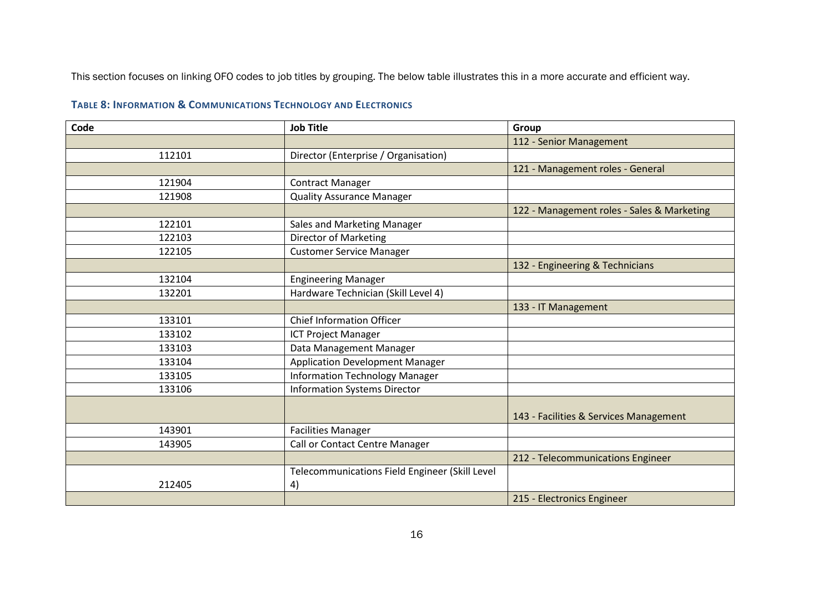This section focuses on linking OFO codes to job titles by grouping. The below table illustrates this in a more accurate and efficient way.

## **TABLE 8: INFORMATION & COMMUNICATIONS TECHNOLOGY AND ELECTRONICS**

<span id="page-18-0"></span>

| Code   | <b>Job Title</b>                               | Group                                      |
|--------|------------------------------------------------|--------------------------------------------|
|        |                                                | 112 - Senior Management                    |
| 112101 | Director (Enterprise / Organisation)           |                                            |
|        |                                                | 121 - Management roles - General           |
| 121904 | <b>Contract Manager</b>                        |                                            |
| 121908 | <b>Quality Assurance Manager</b>               |                                            |
|        |                                                | 122 - Management roles - Sales & Marketing |
| 122101 | Sales and Marketing Manager                    |                                            |
| 122103 | <b>Director of Marketing</b>                   |                                            |
| 122105 | <b>Customer Service Manager</b>                |                                            |
|        |                                                | 132 - Engineering & Technicians            |
| 132104 | <b>Engineering Manager</b>                     |                                            |
| 132201 | Hardware Technician (Skill Level 4)            |                                            |
|        |                                                | 133 - IT Management                        |
| 133101 | <b>Chief Information Officer</b>               |                                            |
| 133102 | ICT Project Manager                            |                                            |
| 133103 | Data Management Manager                        |                                            |
| 133104 | <b>Application Development Manager</b>         |                                            |
| 133105 | <b>Information Technology Manager</b>          |                                            |
| 133106 | <b>Information Systems Director</b>            |                                            |
|        |                                                |                                            |
|        |                                                | 143 - Facilities & Services Management     |
| 143901 | <b>Facilities Manager</b>                      |                                            |
| 143905 | Call or Contact Centre Manager                 |                                            |
|        |                                                | 212 - Telecommunications Engineer          |
|        | Telecommunications Field Engineer (Skill Level |                                            |
| 212405 | 4)                                             |                                            |
|        |                                                | 215 - Electronics Engineer                 |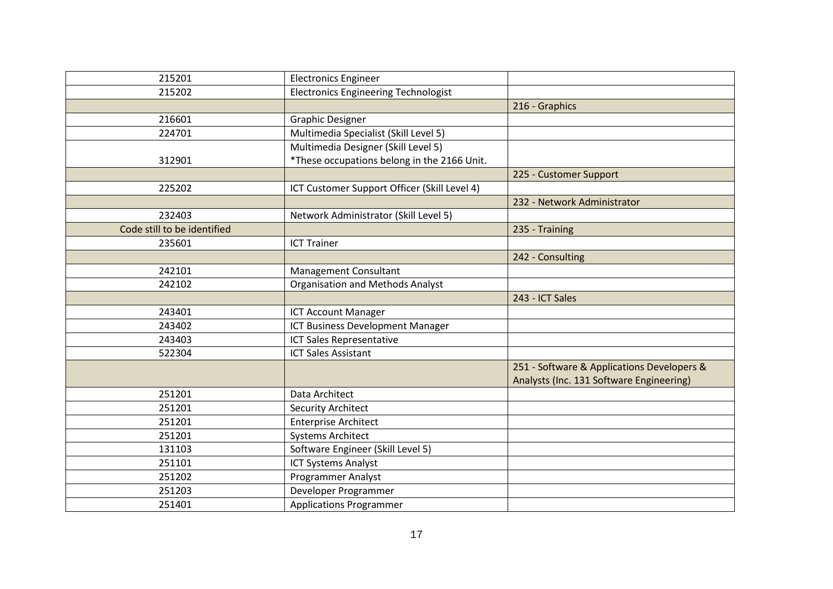| 215201                      | <b>Electronics Engineer</b>                  |                                                                                        |
|-----------------------------|----------------------------------------------|----------------------------------------------------------------------------------------|
| 215202                      | <b>Electronics Engineering Technologist</b>  |                                                                                        |
|                             |                                              | 216 - Graphics                                                                         |
| 216601                      | <b>Graphic Designer</b>                      |                                                                                        |
| 224701                      | Multimedia Specialist (Skill Level 5)        |                                                                                        |
|                             | Multimedia Designer (Skill Level 5)          |                                                                                        |
| 312901                      | *These occupations belong in the 2166 Unit.  |                                                                                        |
|                             |                                              | 225 - Customer Support                                                                 |
| 225202                      | ICT Customer Support Officer (Skill Level 4) |                                                                                        |
|                             |                                              | 232 - Network Administrator                                                            |
| 232403                      | Network Administrator (Skill Level 5)        |                                                                                        |
| Code still to be identified |                                              | 235 - Training                                                                         |
| 235601                      | <b>ICT Trainer</b>                           |                                                                                        |
|                             |                                              | 242 - Consulting                                                                       |
| 242101                      | <b>Management Consultant</b>                 |                                                                                        |
| 242102                      | <b>Organisation and Methods Analyst</b>      |                                                                                        |
|                             |                                              | 243 - ICT Sales                                                                        |
| 243401                      | <b>ICT Account Manager</b>                   |                                                                                        |
| 243402                      | ICT Business Development Manager             |                                                                                        |
| 243403                      | ICT Sales Representative                     |                                                                                        |
| 522304                      | <b>ICT Sales Assistant</b>                   |                                                                                        |
|                             |                                              | 251 - Software & Applications Developers &<br>Analysts (Inc. 131 Software Engineering) |
| 251201                      | Data Architect                               |                                                                                        |
| 251201                      | <b>Security Architect</b>                    |                                                                                        |
| 251201                      | <b>Enterprise Architect</b>                  |                                                                                        |
| 251201                      | <b>Systems Architect</b>                     |                                                                                        |
| 131103                      | Software Engineer (Skill Level 5)            |                                                                                        |
| 251101                      |                                              |                                                                                        |
|                             | <b>ICT Systems Analyst</b>                   |                                                                                        |
| 251202                      | <b>Programmer Analyst</b>                    |                                                                                        |
| 251203                      | Developer Programmer                         |                                                                                        |
| 251401                      | <b>Applications Programmer</b>               |                                                                                        |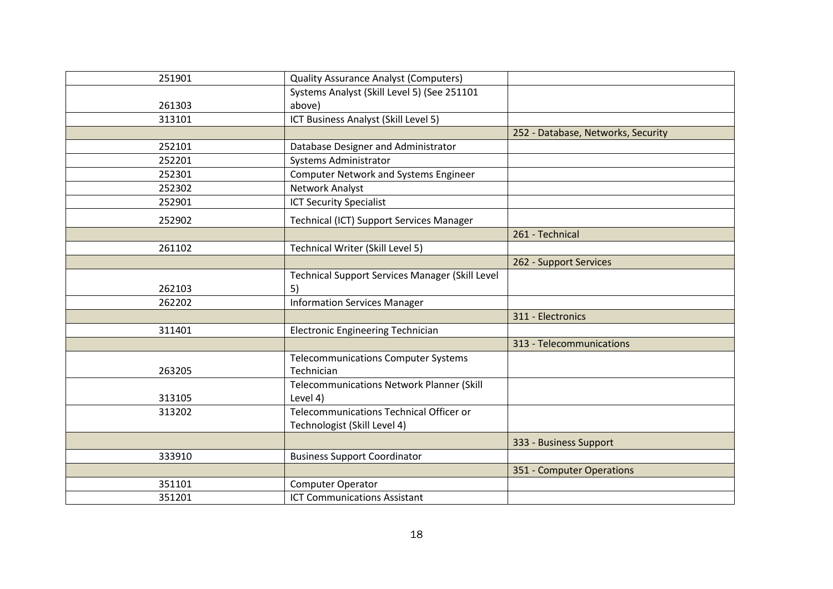| 251901 | <b>Quality Assurance Analyst (Computers)</b>           |                                    |
|--------|--------------------------------------------------------|------------------------------------|
|        | Systems Analyst (Skill Level 5) (See 251101            |                                    |
| 261303 | above)                                                 |                                    |
| 313101 | ICT Business Analyst (Skill Level 5)                   |                                    |
|        |                                                        | 252 - Database, Networks, Security |
| 252101 | Database Designer and Administrator                    |                                    |
| 252201 | Systems Administrator                                  |                                    |
| 252301 | <b>Computer Network and Systems Engineer</b>           |                                    |
| 252302 | Network Analyst                                        |                                    |
| 252901 | <b>ICT Security Specialist</b>                         |                                    |
| 252902 | <b>Technical (ICT) Support Services Manager</b>        |                                    |
|        |                                                        | 261 - Technical                    |
| 261102 | Technical Writer (Skill Level 5)                       |                                    |
|        |                                                        | 262 - Support Services             |
|        | <b>Technical Support Services Manager (Skill Level</b> |                                    |
| 262103 | 5)                                                     |                                    |
| 262202 | <b>Information Services Manager</b>                    |                                    |
|        |                                                        | 311 - Electronics                  |
| 311401 | <b>Electronic Engineering Technician</b>               |                                    |
|        |                                                        | 313 - Telecommunications           |
|        | <b>Telecommunications Computer Systems</b>             |                                    |
| 263205 | Technician                                             |                                    |
|        | <b>Telecommunications Network Planner (Skill</b>       |                                    |
| 313105 | Level 4)                                               |                                    |
| 313202 | Telecommunications Technical Officer or                |                                    |
|        | Technologist (Skill Level 4)                           |                                    |
|        |                                                        | 333 - Business Support             |
| 333910 | <b>Business Support Coordinator</b>                    |                                    |
|        |                                                        | 351 - Computer Operations          |
| 351101 | Computer Operator                                      |                                    |
| 351201 | <b>ICT Communications Assistant</b>                    |                                    |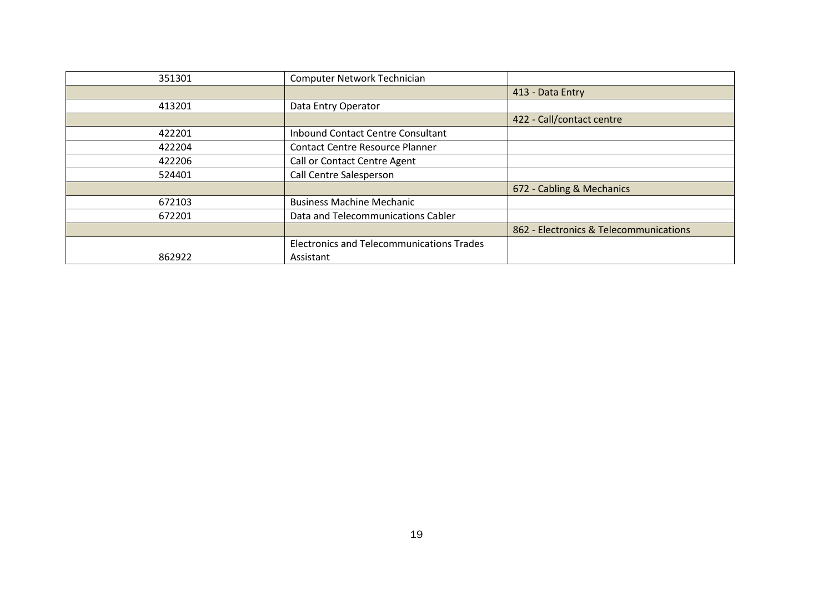| 351301 | Computer Network Technician                      |                                        |
|--------|--------------------------------------------------|----------------------------------------|
|        |                                                  | 413 - Data Entry                       |
| 413201 | Data Entry Operator                              |                                        |
|        |                                                  | 422 - Call/contact centre              |
| 422201 | Inbound Contact Centre Consultant                |                                        |
| 422204 | <b>Contact Centre Resource Planner</b>           |                                        |
| 422206 | Call or Contact Centre Agent                     |                                        |
| 524401 | Call Centre Salesperson                          |                                        |
|        |                                                  | 672 - Cabling & Mechanics              |
| 672103 | <b>Business Machine Mechanic</b>                 |                                        |
| 672201 | Data and Telecommunications Cabler               |                                        |
|        |                                                  | 862 - Electronics & Telecommunications |
|        | <b>Electronics and Telecommunications Trades</b> |                                        |
| 862922 | Assistant                                        |                                        |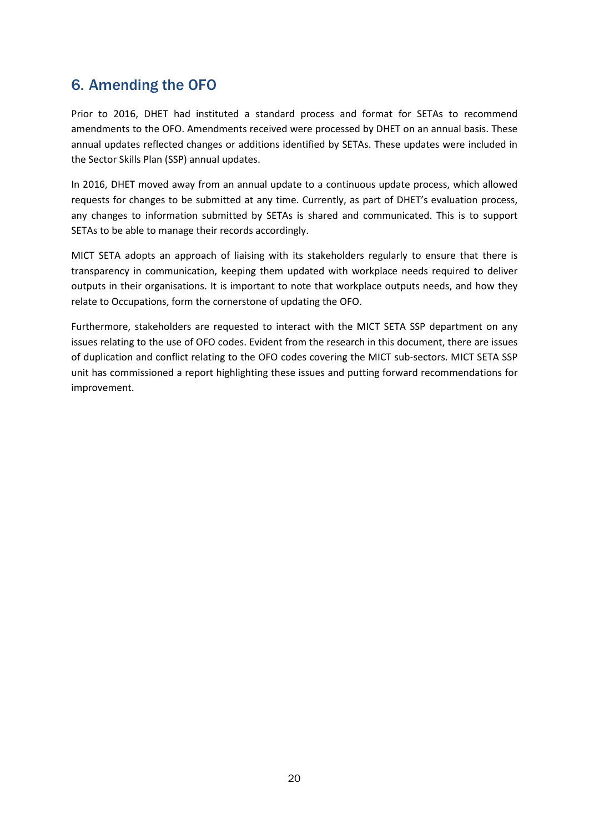# <span id="page-22-0"></span>6. Amending the OFO

Prior to 2016, DHET had instituted a standard process and format for SETAs to recommend amendments to the OFO. Amendments received were processed by DHET on an annual basis. These annual updates reflected changes or additions identified by SETAs. These updates were included in the Sector Skills Plan (SSP) annual updates.

In 2016, DHET moved away from an annual update to a continuous update process, which allowed requests for changes to be submitted at any time. Currently, as part of DHET's evaluation process, any changes to information submitted by SETAs is shared and communicated. This is to support SETAs to be able to manage their records accordingly.

MICT SETA adopts an approach of liaising with its stakeholders regularly to ensure that there is transparency in communication, keeping them updated with workplace needs required to deliver outputs in their organisations. It is important to note that workplace outputs needs, and how they relate to Occupations, form the cornerstone of updating the OFO.

Furthermore, stakeholders are requested to interact with the MICT SETA SSP department on any issues relating to the use of OFO codes. Evident from the research in this document, there are issues of duplication and conflict relating to the OFO codes covering the MICT sub-sectors. MICT SETA SSP unit has commissioned a report highlighting these issues and putting forward recommendations for improvement.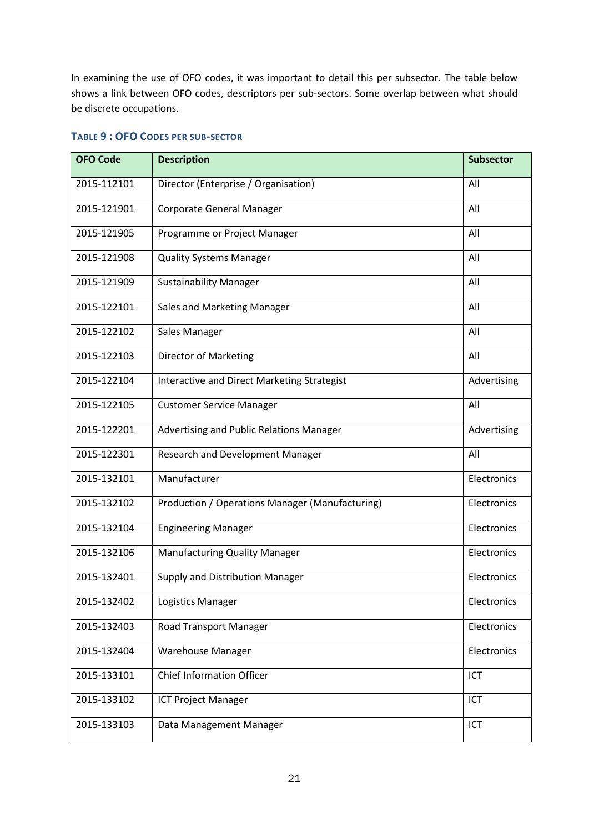In examining the use of OFO codes, it was important to detail this per subsector. The table below shows a link between OFO codes, descriptors per sub-sectors. Some overlap between what should be discrete occupations.

| <b>OFO Code</b> | <b>Description</b>                              | <b>Subsector</b> |
|-----------------|-------------------------------------------------|------------------|
| 2015-112101     | Director (Enterprise / Organisation)            | All              |
| 2015-121901     | <b>Corporate General Manager</b>                | All              |
| 2015-121905     | Programme or Project Manager                    | All              |
| 2015-121908     | <b>Quality Systems Manager</b>                  | All              |
| 2015-121909     | <b>Sustainability Manager</b>                   | All              |
| 2015-122101     | Sales and Marketing Manager                     | All              |
| 2015-122102     | Sales Manager                                   | All              |
| 2015-122103     | Director of Marketing                           | All              |
| 2015-122104     | Interactive and Direct Marketing Strategist     | Advertising      |
| 2015-122105     | <b>Customer Service Manager</b>                 | All              |
| 2015-122201     | Advertising and Public Relations Manager        | Advertising      |
| 2015-122301     | Research and Development Manager                | All              |
| 2015-132101     | Manufacturer                                    | Electronics      |
| 2015-132102     | Production / Operations Manager (Manufacturing) | Electronics      |
| 2015-132104     | <b>Engineering Manager</b>                      | Electronics      |
| 2015-132106     | <b>Manufacturing Quality Manager</b>            | Electronics      |
| 2015-132401     | Supply and Distribution Manager                 | Electronics      |
| 2015-132402     | Logistics Manager                               | Electronics      |
| 2015-132403     | <b>Road Transport Manager</b>                   | Electronics      |
| 2015-132404     | <b>Warehouse Manager</b>                        | Electronics      |
| 2015-133101     | <b>Chief Information Officer</b>                | ICT              |
| 2015-133102     | <b>ICT Project Manager</b>                      | ICT              |
| 2015-133103     | Data Management Manager                         | ICT              |

#### <span id="page-23-0"></span>**TABLE 9 : OFO CODES PER SUB-SECTOR**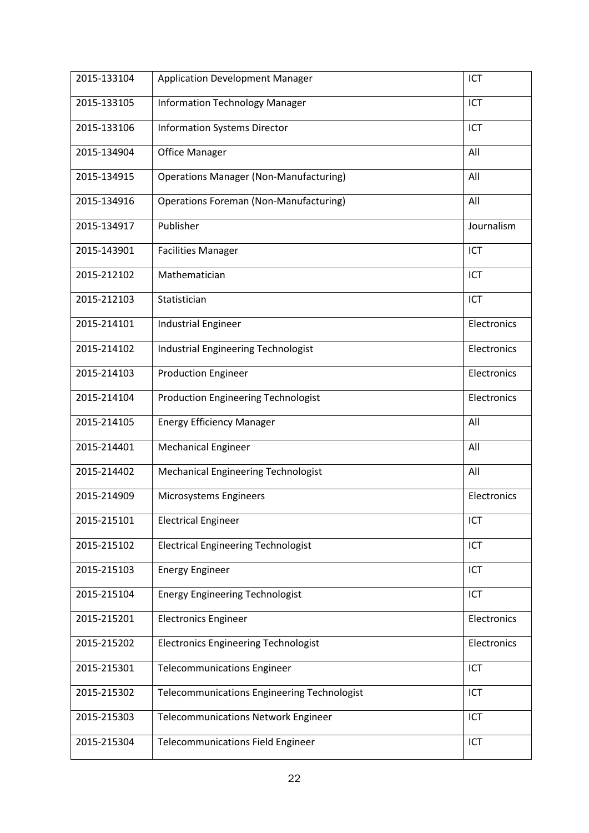| 2015-133104 | <b>Application Development Manager</b>             | ICT         |
|-------------|----------------------------------------------------|-------------|
| 2015-133105 | <b>Information Technology Manager</b>              | ICT         |
| 2015-133106 | <b>Information Systems Director</b>                | ICT         |
| 2015-134904 | <b>Office Manager</b>                              | All         |
| 2015-134915 | <b>Operations Manager (Non-Manufacturing)</b>      | All         |
| 2015-134916 | <b>Operations Foreman (Non-Manufacturing)</b>      | All         |
| 2015-134917 | Publisher                                          | Journalism  |
| 2015-143901 | <b>Facilities Manager</b>                          | ICT         |
| 2015-212102 | Mathematician                                      | ICT         |
| 2015-212103 | Statistician                                       | ICT         |
| 2015-214101 | <b>Industrial Engineer</b>                         | Electronics |
| 2015-214102 | <b>Industrial Engineering Technologist</b>         | Electronics |
| 2015-214103 | <b>Production Engineer</b>                         | Electronics |
| 2015-214104 | <b>Production Engineering Technologist</b>         | Electronics |
| 2015-214105 | <b>Energy Efficiency Manager</b>                   | All         |
| 2015-214401 | <b>Mechanical Engineer</b>                         | All         |
| 2015-214402 | <b>Mechanical Engineering Technologist</b>         | All         |
| 2015-214909 | Microsystems Engineers                             | Electronics |
| 2015-215101 | <b>Electrical Engineer</b>                         | ICT         |
| 2015-215102 | <b>Electrical Engineering Technologist</b>         | ICT         |
| 2015-215103 | <b>Energy Engineer</b>                             | ICT         |
| 2015-215104 | <b>Energy Engineering Technologist</b>             | ICT         |
| 2015-215201 | <b>Electronics Engineer</b>                        | Electronics |
| 2015-215202 | <b>Electronics Engineering Technologist</b>        | Electronics |
| 2015-215301 | <b>Telecommunications Engineer</b>                 | ICT         |
| 2015-215302 | <b>Telecommunications Engineering Technologist</b> | ICT         |
| 2015-215303 | <b>Telecommunications Network Engineer</b>         | ICT         |
| 2015-215304 | <b>Telecommunications Field Engineer</b>           | ICT         |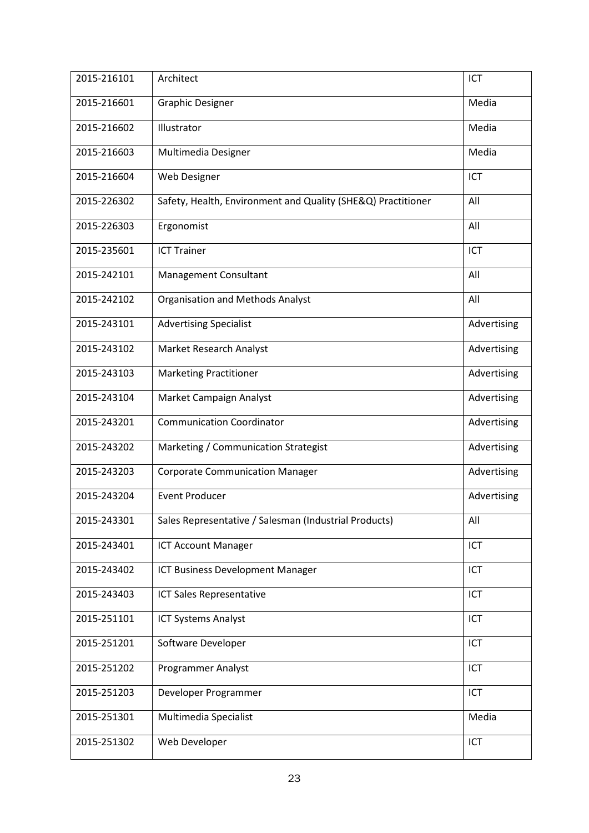| 2015-216101 | Architect                                                    | ICT         |
|-------------|--------------------------------------------------------------|-------------|
| 2015-216601 | <b>Graphic Designer</b>                                      | Media       |
| 2015-216602 | Illustrator                                                  | Media       |
| 2015-216603 | Multimedia Designer                                          | Media       |
| 2015-216604 | Web Designer                                                 | ICT         |
| 2015-226302 | Safety, Health, Environment and Quality (SHE&Q) Practitioner | All         |
| 2015-226303 | Ergonomist                                                   | All         |
| 2015-235601 | <b>ICT Trainer</b>                                           | ICT         |
| 2015-242101 | <b>Management Consultant</b>                                 | All         |
| 2015-242102 | <b>Organisation and Methods Analyst</b>                      | All         |
| 2015-243101 | <b>Advertising Specialist</b>                                | Advertising |
| 2015-243102 | Market Research Analyst                                      | Advertising |
| 2015-243103 | <b>Marketing Practitioner</b>                                | Advertising |
| 2015-243104 | Market Campaign Analyst                                      | Advertising |
| 2015-243201 | <b>Communication Coordinator</b>                             | Advertising |
| 2015-243202 | Marketing / Communication Strategist                         | Advertising |
| 2015-243203 | <b>Corporate Communication Manager</b>                       | Advertising |
| 2015-243204 | <b>Event Producer</b>                                        | Advertising |
| 2015-243301 | Sales Representative / Salesman (Industrial Products)        | All         |
| 2015-243401 | <b>ICT Account Manager</b>                                   | ICT         |
| 2015-243402 | ICT Business Development Manager                             | <b>ICT</b>  |
| 2015-243403 | ICT Sales Representative                                     | ICT         |
| 2015-251101 | <b>ICT Systems Analyst</b>                                   | ICT         |
| 2015-251201 | Software Developer                                           | ICT         |
| 2015-251202 | <b>Programmer Analyst</b>                                    | ICT         |
| 2015-251203 | Developer Programmer                                         | ICT         |
| 2015-251301 | Multimedia Specialist                                        | Media       |
| 2015-251302 | Web Developer                                                | ICT         |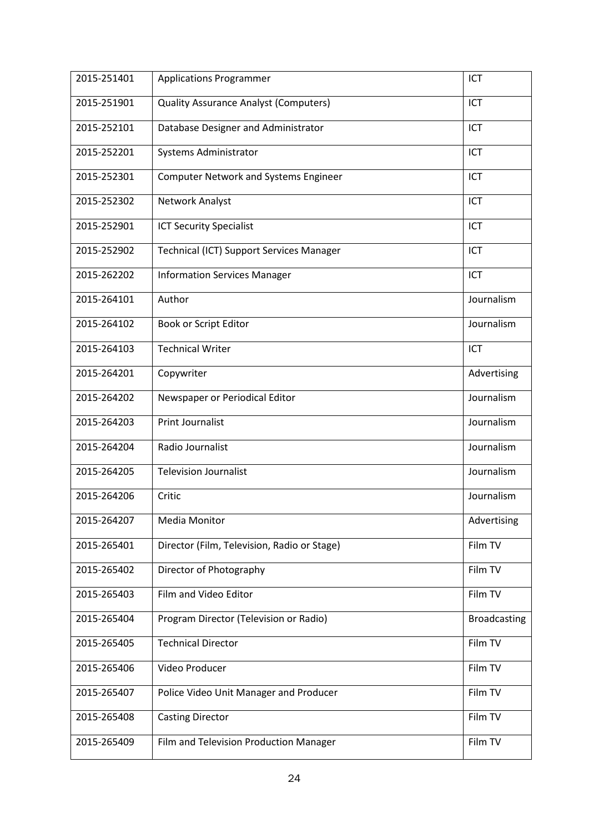| 2015-251401 | <b>Applications Programmer</b>               | ICT                 |
|-------------|----------------------------------------------|---------------------|
| 2015-251901 | <b>Quality Assurance Analyst (Computers)</b> | ICT                 |
| 2015-252101 | Database Designer and Administrator          | ICT                 |
| 2015-252201 | Systems Administrator                        | ICT                 |
| 2015-252301 | <b>Computer Network and Systems Engineer</b> | ICT                 |
| 2015-252302 | Network Analyst                              | ICT                 |
| 2015-252901 | <b>ICT Security Specialist</b>               | ICT                 |
| 2015-252902 | Technical (ICT) Support Services Manager     | ICT                 |
| 2015-262202 | <b>Information Services Manager</b>          | ICT                 |
| 2015-264101 | Author                                       | Journalism          |
| 2015-264102 | Book or Script Editor                        | Journalism          |
| 2015-264103 | <b>Technical Writer</b>                      | <b>ICT</b>          |
| 2015-264201 | Copywriter                                   | Advertising         |
| 2015-264202 | Newspaper or Periodical Editor               | Journalism          |
| 2015-264203 | <b>Print Journalist</b>                      | Journalism          |
| 2015-264204 | Radio Journalist                             | Journalism          |
| 2015-264205 | <b>Television Journalist</b>                 | Journalism          |
| 2015-264206 | Critic                                       | Journalism          |
| 2015-264207 | <b>Media Monitor</b>                         | Advertising         |
| 2015-265401 | Director (Film, Television, Radio or Stage)  | Film TV             |
| 2015-265402 | Director of Photography                      | Film TV             |
| 2015-265403 | Film and Video Editor                        | Film TV             |
| 2015-265404 | Program Director (Television or Radio)       | <b>Broadcasting</b> |
| 2015-265405 | <b>Technical Director</b>                    | Film TV             |
| 2015-265406 | Video Producer                               | Film TV             |
| 2015-265407 | Police Video Unit Manager and Producer       | Film TV             |
| 2015-265408 | <b>Casting Director</b>                      | Film TV             |
| 2015-265409 | Film and Television Production Manager       | Film TV             |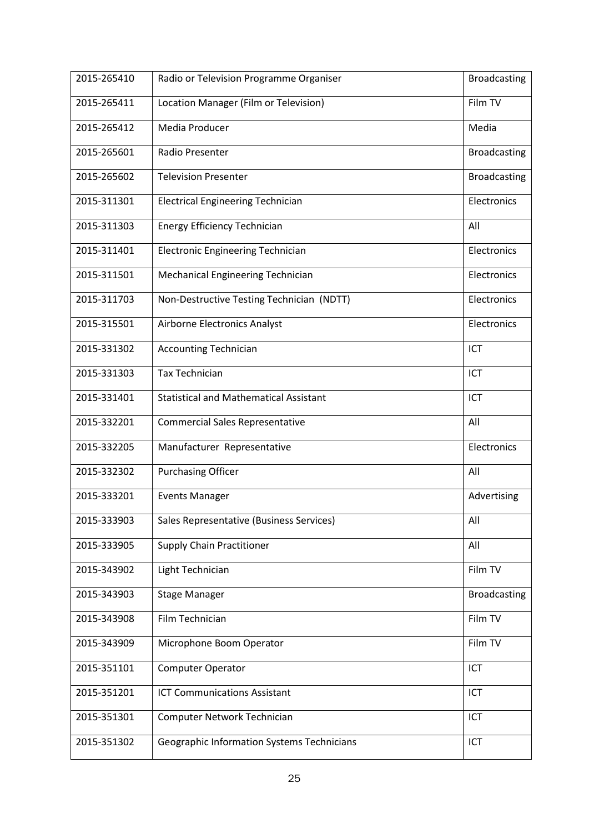| 2015-265410 | Radio or Television Programme Organiser       | <b>Broadcasting</b> |
|-------------|-----------------------------------------------|---------------------|
| 2015-265411 | Location Manager (Film or Television)         | Film TV             |
| 2015-265412 | Media Producer                                | Media               |
| 2015-265601 | Radio Presenter                               | <b>Broadcasting</b> |
| 2015-265602 | <b>Television Presenter</b>                   | <b>Broadcasting</b> |
| 2015-311301 | <b>Electrical Engineering Technician</b>      | Electronics         |
| 2015-311303 | <b>Energy Efficiency Technician</b>           | All                 |
| 2015-311401 | <b>Electronic Engineering Technician</b>      | Electronics         |
| 2015-311501 | Mechanical Engineering Technician             | Electronics         |
| 2015-311703 | Non-Destructive Testing Technician (NDTT)     | Electronics         |
| 2015-315501 | Airborne Electronics Analyst                  | Electronics         |
| 2015-331302 | <b>Accounting Technician</b>                  | ICT                 |
| 2015-331303 | <b>Tax Technician</b>                         | ICT                 |
| 2015-331401 | <b>Statistical and Mathematical Assistant</b> | ICT                 |
| 2015-332201 | <b>Commercial Sales Representative</b>        | All                 |
| 2015-332205 | Manufacturer Representative                   | Electronics         |
| 2015-332302 | <b>Purchasing Officer</b>                     | All                 |
| 2015-333201 | <b>Events Manager</b>                         | Advertising         |
| 2015-333903 | Sales Representative (Business Services)      | All                 |
| 2015-333905 | <b>Supply Chain Practitioner</b>              | All                 |
| 2015-343902 | Light Technician                              | Film TV             |
| 2015-343903 | <b>Stage Manager</b>                          | <b>Broadcasting</b> |
| 2015-343908 | Film Technician                               | Film TV             |
| 2015-343909 | Microphone Boom Operator                      | Film TV             |
| 2015-351101 | <b>Computer Operator</b>                      | ICT                 |
| 2015-351201 | <b>ICT Communications Assistant</b>           | <b>ICT</b>          |
| 2015-351301 | Computer Network Technician                   | ICT                 |
| 2015-351302 | Geographic Information Systems Technicians    | ICT                 |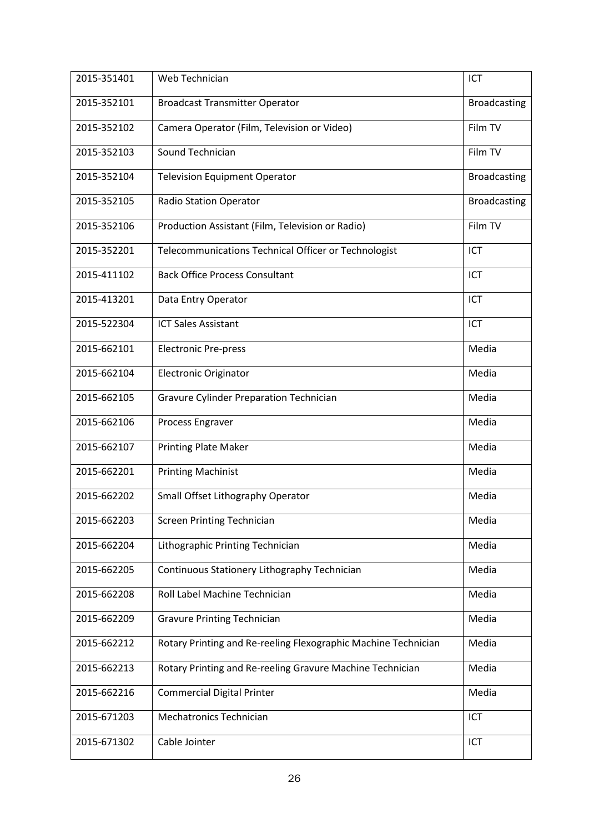| 2015-351401 | Web Technician                                                 | ICT                 |
|-------------|----------------------------------------------------------------|---------------------|
| 2015-352101 | <b>Broadcast Transmitter Operator</b>                          | <b>Broadcasting</b> |
| 2015-352102 | Camera Operator (Film, Television or Video)                    | Film TV             |
| 2015-352103 | Sound Technician                                               | Film TV             |
| 2015-352104 | <b>Television Equipment Operator</b>                           | <b>Broadcasting</b> |
| 2015-352105 | <b>Radio Station Operator</b>                                  | <b>Broadcasting</b> |
| 2015-352106 | Production Assistant (Film, Television or Radio)               | Film TV             |
| 2015-352201 | Telecommunications Technical Officer or Technologist           | ICT                 |
| 2015-411102 | <b>Back Office Process Consultant</b>                          | ICT                 |
| 2015-413201 | Data Entry Operator                                            | ICT                 |
| 2015-522304 | <b>ICT Sales Assistant</b>                                     | ICT                 |
| 2015-662101 | <b>Electronic Pre-press</b>                                    | Media               |
| 2015-662104 | <b>Electronic Originator</b>                                   | Media               |
| 2015-662105 | Gravure Cylinder Preparation Technician                        | Media               |
| 2015-662106 | Process Engraver                                               | Media               |
| 2015-662107 | <b>Printing Plate Maker</b>                                    | Media               |
| 2015-662201 | <b>Printing Machinist</b>                                      | Media               |
| 2015-662202 | Small Offset Lithography Operator                              | Media               |
| 2015-662203 | <b>Screen Printing Technician</b>                              | Media               |
| 2015-662204 | Lithographic Printing Technician                               | Media               |
| 2015-662205 | Continuous Stationery Lithography Technician                   | Media               |
| 2015-662208 | Roll Label Machine Technician                                  | Media               |
| 2015-662209 | <b>Gravure Printing Technician</b>                             | Media               |
| 2015-662212 | Rotary Printing and Re-reeling Flexographic Machine Technician | Media               |
| 2015-662213 | Rotary Printing and Re-reeling Gravure Machine Technician      | Media               |
| 2015-662216 | <b>Commercial Digital Printer</b>                              | Media               |
| 2015-671203 | <b>Mechatronics Technician</b>                                 | ICT                 |
| 2015-671302 | Cable Jointer                                                  | ICT                 |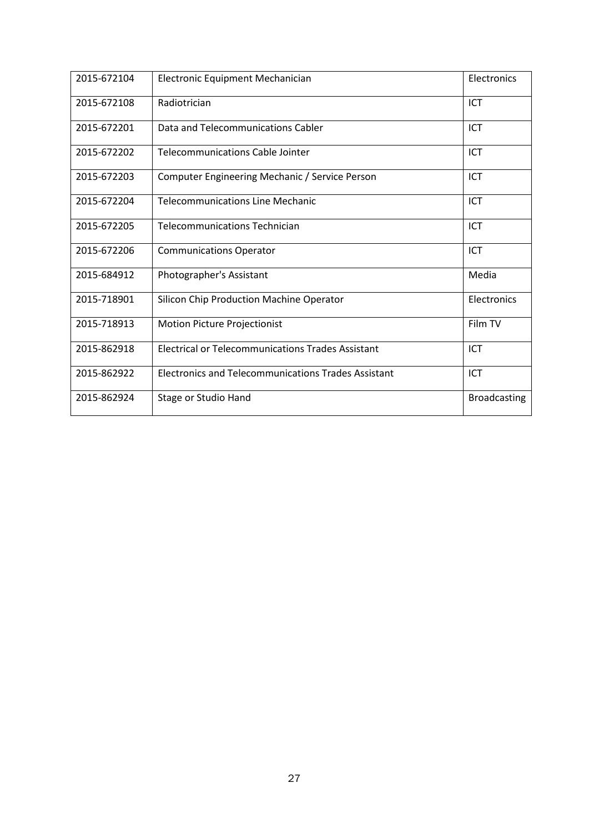| 2015-672104 | Electronic Equipment Mechanician                           | Electronics         |
|-------------|------------------------------------------------------------|---------------------|
| 2015-672108 | Radiotrician                                               | ICT                 |
| 2015-672201 | Data and Telecommunications Cabler                         | ICT                 |
| 2015-672202 | <b>Telecommunications Cable Jointer</b>                    | ICT                 |
| 2015-672203 | Computer Engineering Mechanic / Service Person             | <b>ICT</b>          |
| 2015-672204 | <b>Telecommunications Line Mechanic</b>                    | ICT                 |
| 2015-672205 | <b>Telecommunications Technician</b>                       | ICT                 |
| 2015-672206 | <b>Communications Operator</b>                             | ICT                 |
| 2015-684912 | Photographer's Assistant                                   | Media               |
| 2015-718901 | Silicon Chip Production Machine Operator                   | Electronics         |
| 2015-718913 | <b>Motion Picture Projectionist</b>                        | Film TV             |
| 2015-862918 | <b>Electrical or Telecommunications Trades Assistant</b>   | ICT                 |
| 2015-862922 | <b>Electronics and Telecommunications Trades Assistant</b> | <b>ICT</b>          |
| 2015-862924 | Stage or Studio Hand                                       | <b>Broadcasting</b> |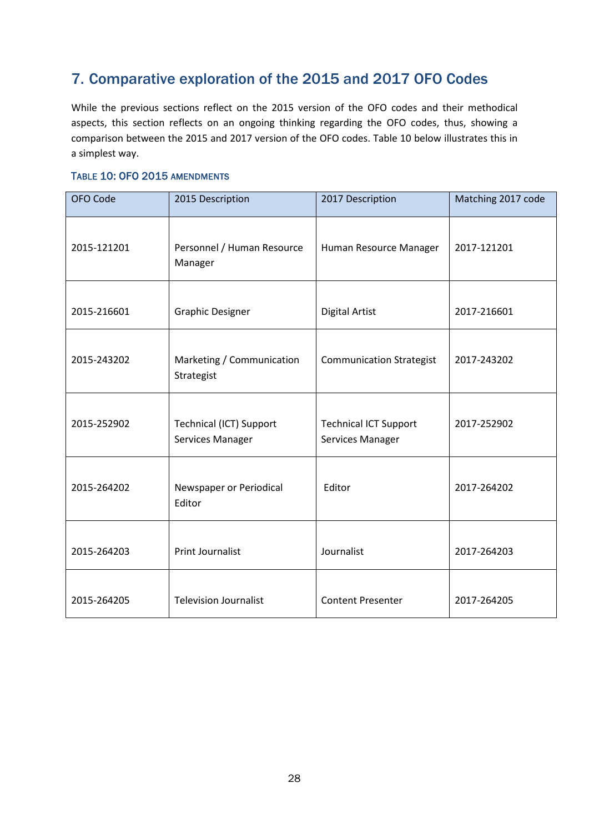# <span id="page-30-0"></span>7. Comparative exploration of the 2015 and 2017 OFO Codes

While the previous sections reflect on the 2015 version of the OFO codes and their methodical aspects, this section reflects on an ongoing thinking regarding the OFO codes, thus, showing a comparison between the 2015 and 2017 version of the OFO codes. Table 10 below illustrates this in a simplest way.

### <span id="page-30-1"></span>TABLE 10: OFO 2015 AMENDMENTS

| OFO Code    | 2015 Description                                   | 2017 Description                                 | Matching 2017 code |
|-------------|----------------------------------------------------|--------------------------------------------------|--------------------|
| 2015-121201 | Personnel / Human Resource<br>Manager              | Human Resource Manager                           | 2017-121201        |
| 2015-216601 | <b>Graphic Designer</b>                            | <b>Digital Artist</b>                            | 2017-216601        |
| 2015-243202 | Marketing / Communication<br>Strategist            | <b>Communication Strategist</b>                  | 2017-243202        |
| 2015-252902 | <b>Technical (ICT) Support</b><br>Services Manager | <b>Technical ICT Support</b><br>Services Manager | 2017-252902        |
| 2015-264202 | Newspaper or Periodical<br>Editor                  | Editor                                           | 2017-264202        |
| 2015-264203 | <b>Print Journalist</b>                            | Journalist                                       | 2017-264203        |
| 2015-264205 | <b>Television Journalist</b>                       | <b>Content Presenter</b>                         | 2017-264205        |